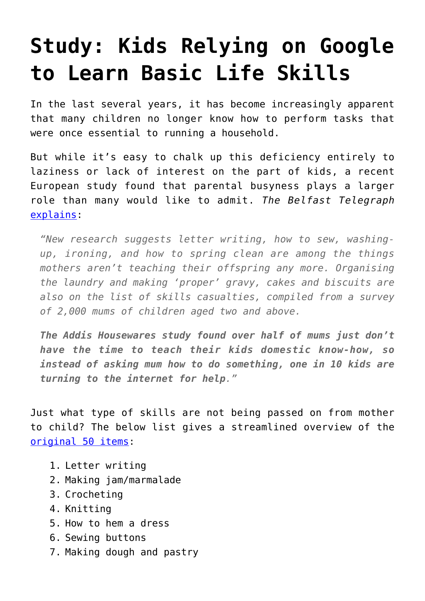## **[Study: Kids Relying on Google](https://intellectualtakeout.org/2017/03/study-kids-relying-on-google-to-learn-basic-life-skills/) [to Learn Basic Life Skills](https://intellectualtakeout.org/2017/03/study-kids-relying-on-google-to-learn-basic-life-skills/)**

In the last several years, it has become increasingly apparent that many children no longer know how to perform tasks that were once essential to running a household.

But while it's easy to chalk up this deficiency entirely to laziness or lack of interest on the part of kids, a recent European study found that parental busyness plays a larger role than many would like to admit. *The Belfast Telegraph* [explains:](http://www.belfasttelegraph.co.uk/life/features/from-darning-socks-to-making-chutney-how-traditional-skills-are-dying-out-in-family-home-35499830.html)

*"New research suggests letter writing, how to sew, washingup, ironing, and how to spring clean are among the things mothers aren't teaching their offspring any more. Organising the laundry and making 'proper' gravy, cakes and biscuits are also on the list of skills casualties, compiled from a survey of 2,000 mums of children aged two and above.*

*The Addis Housewares study found over half of mums just don't have the time to teach their kids domestic know-how, so instead of asking mum how to do something, one in 10 kids are turning to the internet for help."*

Just what type of skills are not being passed on from mother to child? The below list gives a streamlined overview of the [original 50 items:](https://www.herfamily.ie/news/apparently-mums-arent-passing-proper-life-skills-kids-258711)

- 1. Letter writing
- 2. Making jam/marmalade
- 3. Crocheting
- 4. Knitting
- 5. How to hem a dress
- 6. Sewing buttons
- 7. Making dough and pastry